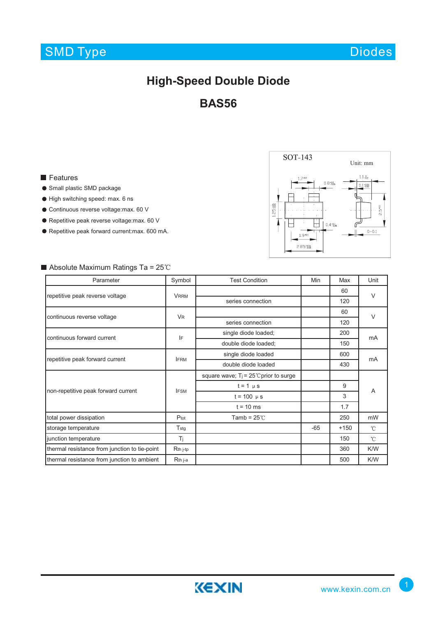## SMD Type

Diodes

## **High-Speed Double Diode**

**BAS56**

#### **Features**

- Small plastic SMD package
- High switching speed: max. 6 ns
- Continuous reverse voltage:max. 60 V
- Repetitive peak reverse voltage:max. 60 V
- Repetitive peak forward current:max. 600 mA.



### $\blacksquare$  Absolute Maximum Ratings Ta = 25°C

| Parameter                                     | Symbol               | <b>Test Condition</b>                            | Min   | Max    | Unit         |
|-----------------------------------------------|----------------------|--------------------------------------------------|-------|--------|--------------|
| repetitive peak reverse voltage               | <b>VRRM</b>          |                                                  |       | 60     | $\vee$       |
|                                               |                      | series connection                                |       | 120    |              |
| continuous reverse voltage                    | <b>V<sub>R</sub></b> |                                                  |       | 60     | $\vee$       |
|                                               |                      | series connection                                |       | 120    |              |
| continuous forward current                    | IF                   | single diode loaded;                             |       | 200    | mA           |
|                                               |                      | double diode loaded;                             |       | 150    |              |
| repetitive peak forward current               | <b>IFRM</b>          | single diode loaded                              |       | 600    | mA           |
|                                               |                      | double diode loaded                              |       | 430    |              |
| non-repetitive peak forward current           | <b>IFSM</b>          | square wave; $T_i = 25^{\circ}$ C prior to surge |       |        | A            |
|                                               |                      | $t = 1$ $\mu$ s                                  |       | 9      |              |
|                                               |                      | $t = 100 \mu s$                                  |       | 3      |              |
|                                               |                      | $t = 10$ ms                                      |       | 1.7    |              |
| total power dissipation                       | Ptot                 | Tamb = $25^{\circ}$ C                            |       | 250    | mW           |
| storage temperature                           | $T_{\text{stg}}$     |                                                  | $-65$ | $+150$ | $\hat{C}$    |
| junction temperature                          | Tj.                  |                                                  |       | 150    | $\mathrm{C}$ |
| thermal resistance from junction to tie-point | $Rth$ j-tp           |                                                  |       | 360    | K/W          |
| thermal resistance from junction to ambient   | Rth j-a              |                                                  |       | 500    | K/W          |